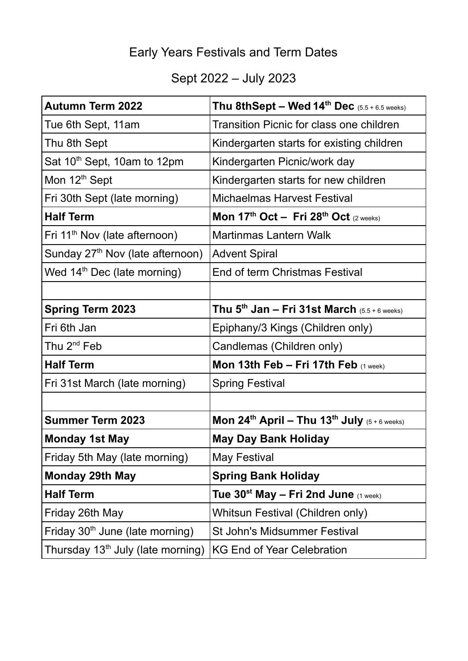# Early Years Festivals and Term Dates

# Sept 2022 – July 2023

| <b>Autumn Term 2022</b>                       | Thu 8thSept – Wed $14^{th}$ Dec $(5.5 + 6.5 \text{ weeks})$                  |
|-----------------------------------------------|------------------------------------------------------------------------------|
| Tue 6th Sept, 11am                            | <b>Transition Picnic for class one children</b>                              |
| Thu 8th Sept                                  | Kindergarten starts for existing children                                    |
| Sat 10 <sup>th</sup> Sept, 10am to 12pm       | Kindergarten Picnic/work day                                                 |
| Mon 12 <sup>th</sup> Sept                     | Kindergarten starts for new children                                         |
| Fri 30th Sept (late morning)                  | <b>Michaelmas Harvest Festival</b>                                           |
| <b>Half Term</b>                              | Mon 17 <sup>th</sup> Oct - Fri 28 <sup>th</sup> Oct (2 weeks)                |
| Fri 11 <sup>th</sup> Nov (late afternoon)     | <b>Martinmas Lantern Walk</b>                                                |
| Sunday 27 <sup>th</sup> Nov (late afternoon)  | <b>Advent Spiral</b>                                                         |
| Wed $14th$ Dec (late morning)                 | End of term Christmas Festival                                               |
|                                               |                                                                              |
| <b>Spring Term 2023</b>                       | Thu $5^{th}$ Jan – Fri 31st March (5.5 + 6 weeks)                            |
| Fri 6th Jan                                   | Epiphany/3 Kings (Children only)                                             |
| Thu 2 <sup>nd</sup> Feb                       | Candlemas (Children only)                                                    |
| <b>Half Term</b>                              | Mon 13th Feb $-$ Fri 17th Feb $(1 \text{ week})$                             |
| Fri 31st March (late morning)                 | <b>Spring Festival</b>                                                       |
|                                               |                                                                              |
| <b>Summer Term 2023</b>                       | Mon 24 <sup>th</sup> April – Thu 13 <sup>th</sup> July $(5+6 \text{ weeks})$ |
| <b>Monday 1st May</b>                         | <b>May Day Bank Holiday</b>                                                  |
| Friday 5th May (late morning)                 | <b>May Festival</b>                                                          |
| <b>Monday 29th May</b>                        | <b>Spring Bank Holiday</b>                                                   |
| <b>Half Term</b>                              | Tue 30 <sup>st</sup> May – Fri 2nd June $(1 \text{ week})$                   |
| Friday 26th May                               | Whitsun Festival (Children only)                                             |
| Friday 30 <sup>th</sup> June (late morning)   | <b>St John's Midsummer Festival</b>                                          |
| Thursday 13 <sup>th</sup> July (late morning) | <b>KG End of Year Celebration</b>                                            |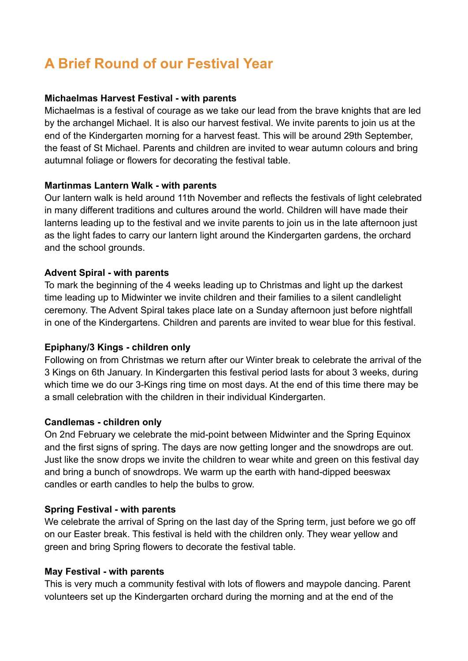# **A Brief Round of our Festival Year**

## **Michaelmas Harvest Festival - with parents**

Michaelmas is a festival of courage as we take our lead from the brave knights that are led by the archangel Michael. It is also our harvest festival. We invite parents to join us at the end of the Kindergarten morning for a harvest feast. This will be around 29th September, the feast of St Michael. Parents and children are invited to wear autumn colours and bring autumnal foliage or flowers for decorating the festival table.

## **Martinmas Lantern Walk - with parents**

Our lantern walk is held around 11th November and reflects the festivals of light celebrated in many different traditions and cultures around the world. Children will have made their lanterns leading up to the festival and we invite parents to join us in the late afternoon just as the light fades to carry our lantern light around the Kindergarten gardens, the orchard and the school grounds.

## **Advent Spiral - with parents**

To mark the beginning of the 4 weeks leading up to Christmas and light up the darkest time leading up to Midwinter we invite children and their families to a silent candlelight ceremony. The Advent Spiral takes place late on a Sunday afternoon just before nightfall in one of the Kindergartens. Children and parents are invited to wear blue for this festival.

# **Epiphany/3 Kings - children only**

Following on from Christmas we return after our Winter break to celebrate the arrival of the 3 Kings on 6th January. In Kindergarten this festival period lasts for about 3 weeks, during which time we do our 3-Kings ring time on most days. At the end of this time there may be a small celebration with the children in their individual Kindergarten.

#### **Candlemas - children only**

On 2nd February we celebrate the mid-point between Midwinter and the Spring Equinox and the first signs of spring. The days are now getting longer and the snowdrops are out. Just like the snow drops we invite the children to wear white and green on this festival day and bring a bunch of snowdrops. We warm up the earth with hand-dipped beeswax candles or earth candles to help the bulbs to grow.

#### **Spring Festival - with parents**

We celebrate the arrival of Spring on the last day of the Spring term, just before we go off on our Easter break. This festival is held with the children only. They wear yellow and green and bring Spring flowers to decorate the festival table.

#### **May Festival - with parents**

This is very much a community festival with lots of flowers and maypole dancing. Parent volunteers set up the Kindergarten orchard during the morning and at the end of the